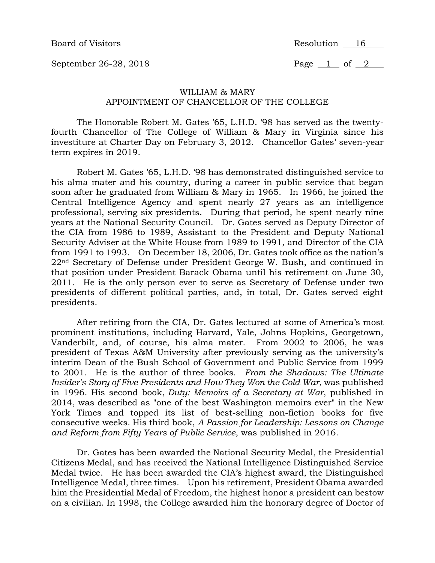Board of Visitors **Resolution** 16

September 26-28, 2018 Page 1 of 2

## WILLIAM & MARY APPOINTMENT OF CHANCELLOR OF THE COLLEGE

The Honorable Robert M. Gates '65, L.H.D. '98 has served as the twentyfourth Chancellor of The College of William & Mary in Virginia since his investiture at Charter Day on February 3, 2012. Chancellor Gates' seven-year term expires in 2019.

Robert M. Gates '65, L.H.D. '98 has demonstrated distinguished service to his alma mater and his country, during a career in public service that began soon after he graduated from William & Mary in 1965. In 1966, he joined the Central Intelligence Agency and spent nearly 27 years as an intelligence professional, serving six presidents. During that period, he spent nearly nine years at the National Security Council. Dr. Gates served as Deputy Director of the CIA from 1986 to 1989, Assistant to the President and Deputy National Security Adviser at the White House from 1989 to 1991, and Director of the CIA from 1991 to 1993. On December 18, 2006, Dr. Gates took office as the nation's 22nd Secretary of Defense under President George W. Bush, and continued in that position under President Barack Obama until his retirement on June 30, 2011. He is the only person ever to serve as Secretary of Defense under two presidents of different political parties, and, in total, Dr. Gates served eight presidents.

After retiring from the CIA, Dr. Gates lectured at some of America's most prominent institutions, including Harvard, Yale, Johns Hopkins, Georgetown, Vanderbilt, and, of course, his alma mater. From 2002 to 2006, he was president of Texas A&M University after previously serving as the university's interim Dean of the Bush School of Government and Public Service from 1999 to 2001. He is the author of three books. *From the Shadows: The Ultimate Insider's Story of Five Presidents and How They Won the Cold War*, was published in 1996. His second book, *Duty: Memoirs of a Secretary at War*, published in 2014, was described as "one of the best Washington memoirs ever" in the New York Times and topped its list of best-selling non-fiction books for five consecutive weeks. His third book, *A Passion for Leadership: Lessons on Change and Reform from Fifty Years of Public Service*, was published in 2016.

Dr. Gates has been awarded the National Security Medal, the Presidential Citizens Medal, and has received the National Intelligence Distinguished Service Medal twice. He has been awarded the CIA's highest award, the Distinguished Intelligence Medal, three times. Upon his retirement, President Obama awarded him the Presidential Medal of Freedom, the highest honor a president can bestow on a civilian. In 1998, the College awarded him the honorary degree of Doctor of